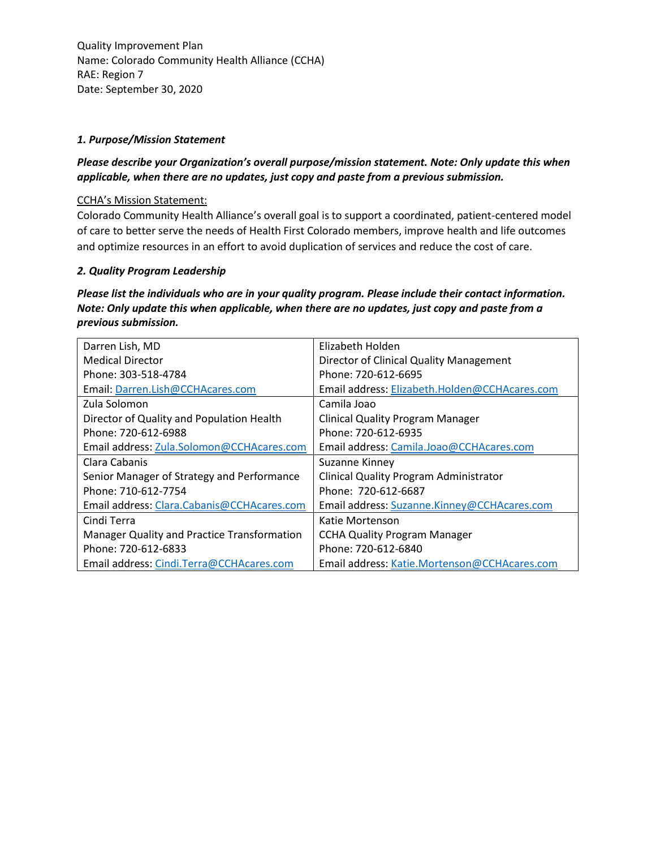#### *1. Purpose/Mission Statement*

## *Please describe your Organization's overall purpose/mission statement. Note: Only update this when applicable, when there are no updates, just copy and paste from a previous submission.*

### CCHA's Mission Statement:

Colorado Community Health Alliance's overall goal is to support a coordinated, patient-centered model of care to better serve the needs of Health First Colorado members, improve health and life outcomes and optimize resources in an effort to avoid duplication of services and reduce the cost of care.

### *2. Quality Program Leadership*

*Please list the individuals who are in your quality program. Please include their contact information. Note: Only update this when applicable, when there are no updates, just copy and paste from a previous submission.*

| Darren Lish, MD                             | Elizabeth Holden                              |
|---------------------------------------------|-----------------------------------------------|
| <b>Medical Director</b>                     | Director of Clinical Quality Management       |
| Phone: 303-518-4784                         | Phone: 720-612-6695                           |
| Email: Darren.Lish@CCHAcares.com            | Email address: Elizabeth.Holden@CCHAcares.com |
| Zula Solomon                                | Camila Joao                                   |
| Director of Quality and Population Health   | <b>Clinical Quality Program Manager</b>       |
| Phone: 720-612-6988                         | Phone: 720-612-6935                           |
| Email address: Zula.Solomon@CCHAcares.com   | Email address: Camila.Joao@CCHAcares.com      |
| Clara Cabanis                               | Suzanne Kinney                                |
| Senior Manager of Strategy and Performance  | <b>Clinical Quality Program Administrator</b> |
| Phone: 710-612-7754                         | Phone: 720-612-6687                           |
| Email address: Clara.Cabanis@CCHAcares.com  | Email address: Suzanne.Kinney@CCHAcares.com   |
| Cindi Terra                                 | Katie Mortenson                               |
| Manager Quality and Practice Transformation | <b>CCHA Quality Program Manager</b>           |
| Phone: 720-612-6833                         | Phone: 720-612-6840                           |
| Email address: Cindi.Terra@CCHAcares.com    | Email address: Katie.Mortenson@CCHAcares.com  |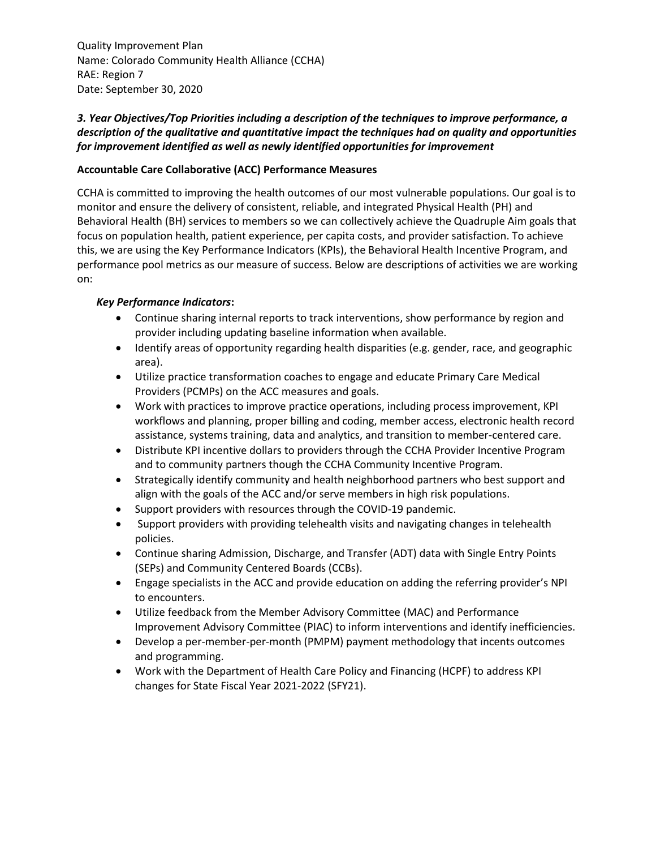# *3. Year Objectives/Top Priorities including a description of the techniques to improve performance, a description of the qualitative and quantitative impact the techniques had on quality and opportunities for improvement identified as well as newly identified opportunities for improvement*

### **Accountable Care Collaborative (ACC) Performance Measures**

CCHA is committed to improving the health outcomes of our most vulnerable populations. Our goal is to monitor and ensure the delivery of consistent, reliable, and integrated Physical Health (PH) and Behavioral Health (BH) services to members so we can collectively achieve the Quadruple Aim goals that focus on population health, patient experience, per capita costs, and provider satisfaction. To achieve this, we are using the Key Performance Indicators (KPIs), the Behavioral Health Incentive Program, and performance pool metrics as our measure of success. Below are descriptions of activities we are working on:

#### *Key Performance Indicators***:**

- Continue sharing internal reports to track interventions, show performance by region and provider including updating baseline information when available.
- Identify areas of opportunity regarding health disparities (e.g. gender, race, and geographic area).
- Utilize practice transformation coaches to engage and educate Primary Care Medical Providers (PCMPs) on the ACC measures and goals.
- Work with practices to improve practice operations, including process improvement, KPI workflows and planning, proper billing and coding, member access, electronic health record assistance, systems training, data and analytics, and transition to member-centered care.
- Distribute KPI incentive dollars to providers through the CCHA Provider Incentive Program and to community partners though the CCHA Community Incentive Program.
- Strategically identify community and health neighborhood partners who best support and align with the goals of the ACC and/or serve members in high risk populations.
- Support providers with resources through the COVID-19 pandemic.
- Support providers with providing telehealth visits and navigating changes in telehealth policies.
- Continue sharing Admission, Discharge, and Transfer (ADT) data with Single Entry Points (SEPs) and Community Centered Boards (CCBs).
- Engage specialists in the ACC and provide education on adding the referring provider's NPI to encounters.
- Utilize feedback from the Member Advisory Committee (MAC) and Performance Improvement Advisory Committee (PIAC) to inform interventions and identify inefficiencies.
- Develop a per-member-per-month (PMPM) payment methodology that incents outcomes and programming.
- Work with the Department of Health Care Policy and Financing (HCPF) to address KPI changes for State Fiscal Year 2021-2022 (SFY21).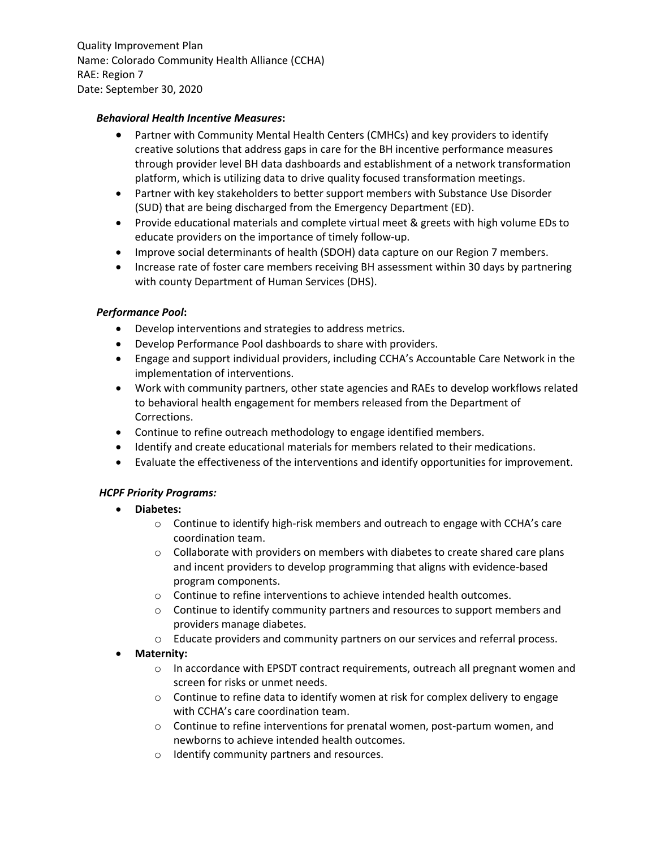#### *Behavioral Health Incentive Measures***:**

- Partner with Community Mental Health Centers (CMHCs) and key providers to identify creative solutions that address gaps in care for the BH incentive performance measures through provider level BH data dashboards and establishment of a network transformation platform, which is utilizing data to drive quality focused transformation meetings.
- Partner with key stakeholders to better support members with Substance Use Disorder (SUD) that are being discharged from the Emergency Department (ED).
- Provide educational materials and complete virtual meet & greets with high volume EDs to educate providers on the importance of timely follow-up.
- Improve social determinants of health (SDOH) data capture on our Region 7 members.
- Increase rate of foster care members receiving BH assessment within 30 days by partnering with county Department of Human Services (DHS).

### *Performance Pool***:**

- Develop interventions and strategies to address metrics.
- Develop Performance Pool dashboards to share with providers.
- Engage and support individual providers, including CCHA's Accountable Care Network in the implementation of interventions.
- Work with community partners, other state agencies and RAEs to develop workflows related to behavioral health engagement for members released from the Department of Corrections.
- Continue to refine outreach methodology to engage identified members.
- Identify and create educational materials for members related to their medications.
- Evaluate the effectiveness of the interventions and identify opportunities for improvement.

## *HCPF Priority Programs:*

- **Diabetes:**
	- o Continue to identify high-risk members and outreach to engage with CCHA's care coordination team.
	- $\circ$  Collaborate with providers on members with diabetes to create shared care plans and incent providers to develop programming that aligns with evidence-based program components.
	- o Continue to refine interventions to achieve intended health outcomes.
	- o Continue to identify community partners and resources to support members and providers manage diabetes.
	- o Educate providers and community partners on our services and referral process.

## **Maternity:**

- $\circ$  In accordance with EPSDT contract requirements, outreach all pregnant women and screen for risks or unmet needs.
- $\circ$  Continue to refine data to identify women at risk for complex delivery to engage with CCHA's care coordination team.
- o Continue to refine interventions for prenatal women, post-partum women, and newborns to achieve intended health outcomes.
- o Identify community partners and resources.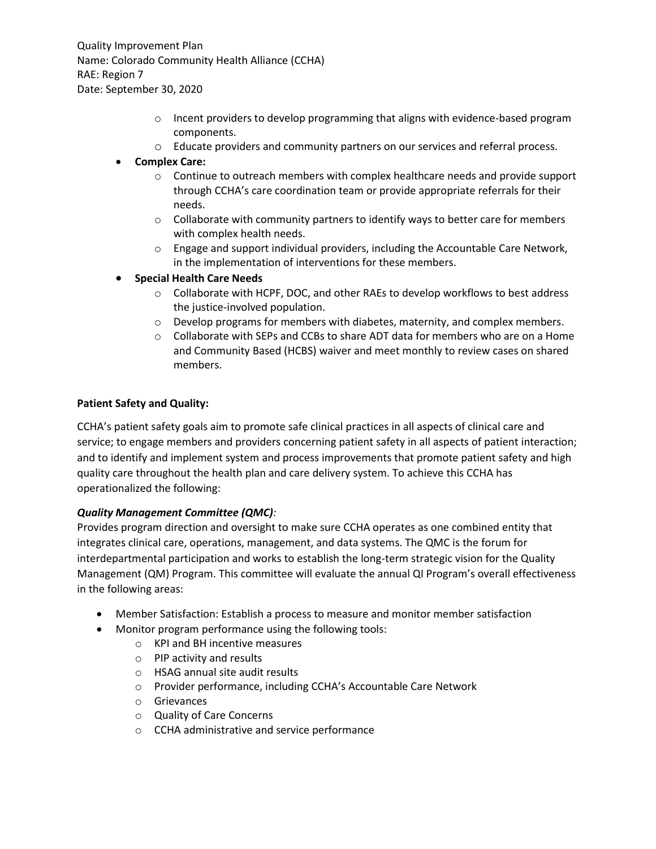- o Incent providers to develop programming that aligns with evidence-based program components.
- o Educate providers and community partners on our services and referral process.

### **Complex Care:**

- $\circ$  Continue to outreach members with complex healthcare needs and provide support through CCHA's care coordination team or provide appropriate referrals for their needs.
- $\circ$  Collaborate with community partners to identify ways to better care for members with complex health needs.
- o Engage and support individual providers, including the Accountable Care Network, in the implementation of interventions for these members.

## **Special Health Care Needs**

- o Collaborate with HCPF, DOC, and other RAEs to develop workflows to best address the justice-involved population.
- $\circ$  Develop programs for members with diabetes, maternity, and complex members.
- $\circ$  Collaborate with SEPs and CCBs to share ADT data for members who are on a Home and Community Based (HCBS) waiver and meet monthly to review cases on shared members.

#### **Patient Safety and Quality:**

CCHA's patient safety goals aim to promote safe clinical practices in all aspects of clinical care and service; to engage members and providers concerning patient safety in all aspects of patient interaction; and to identify and implement system and process improvements that promote patient safety and high quality care throughout the health plan and care delivery system. To achieve this CCHA has operationalized the following:

#### *Quality Management Committee (QMC):*

Provides program direction and oversight to make sure CCHA operates as one combined entity that integrates clinical care, operations, management, and data systems. The QMC is the forum for interdepartmental participation and works to establish the long-term strategic vision for the Quality Management (QM) Program. This committee will evaluate the annual QI Program's overall effectiveness in the following areas:

- Member Satisfaction: Establish a process to measure and monitor member satisfaction
- Monitor program performance using the following tools:
	- o KPI and BH incentive measures
	- o PIP activity and results
	- o HSAG annual site audit results
	- o Provider performance, including CCHA's Accountable Care Network
	- o Grievances
	- o Quality of Care Concerns
	- o CCHA administrative and service performance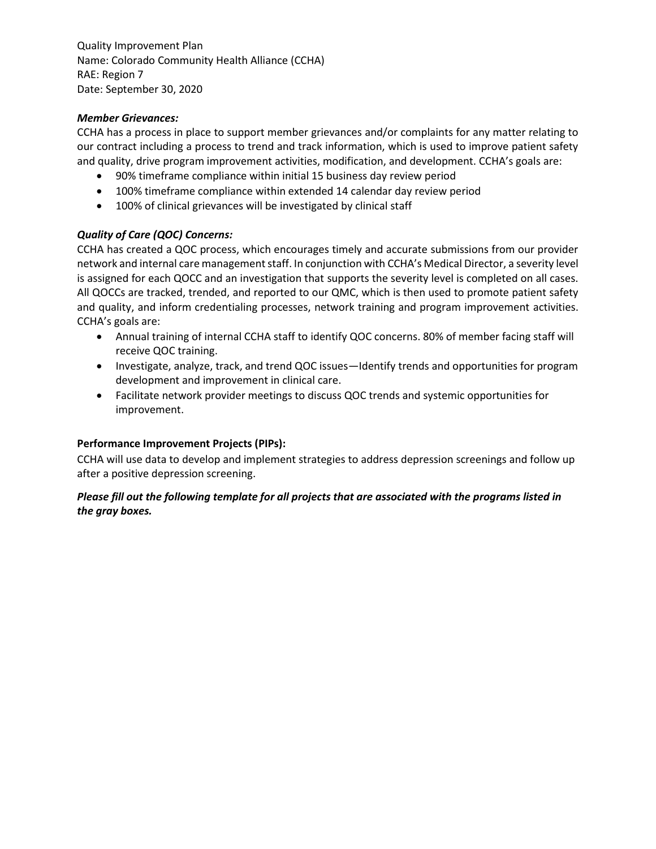### *Member Grievances:*

CCHA has a process in place to support member grievances and/or complaints for any matter relating to our contract including a process to trend and track information, which is used to improve patient safety and quality, drive program improvement activities, modification, and development. CCHA's goals are:

- 90% timeframe compliance within initial 15 business day review period
- 100% timeframe compliance within extended 14 calendar day review period
- 100% of clinical grievances will be investigated by clinical staff

## *Quality of Care (QOC) Concerns:*

CCHA has created a QOC process, which encourages timely and accurate submissions from our provider network and internal care management staff. In conjunction with CCHA's Medical Director, a severity level is assigned for each QOCC and an investigation that supports the severity level is completed on all cases. All QOCCs are tracked, trended, and reported to our QMC, which is then used to promote patient safety and quality, and inform credentialing processes, network training and program improvement activities. CCHA's goals are:

- Annual training of internal CCHA staff to identify QOC concerns. 80% of member facing staff will receive QOC training.
- Investigate, analyze, track, and trend QOC issues—Identify trends and opportunities for program development and improvement in clinical care.
- Facilitate network provider meetings to discuss QOC trends and systemic opportunities for improvement.

#### **Performance Improvement Projects (PIPs):**

CCHA will use data to develop and implement strategies to address depression screenings and follow up after a positive depression screening.

## *Please fill out the following template for all projects that are associated with the programs listed in the gray boxes.*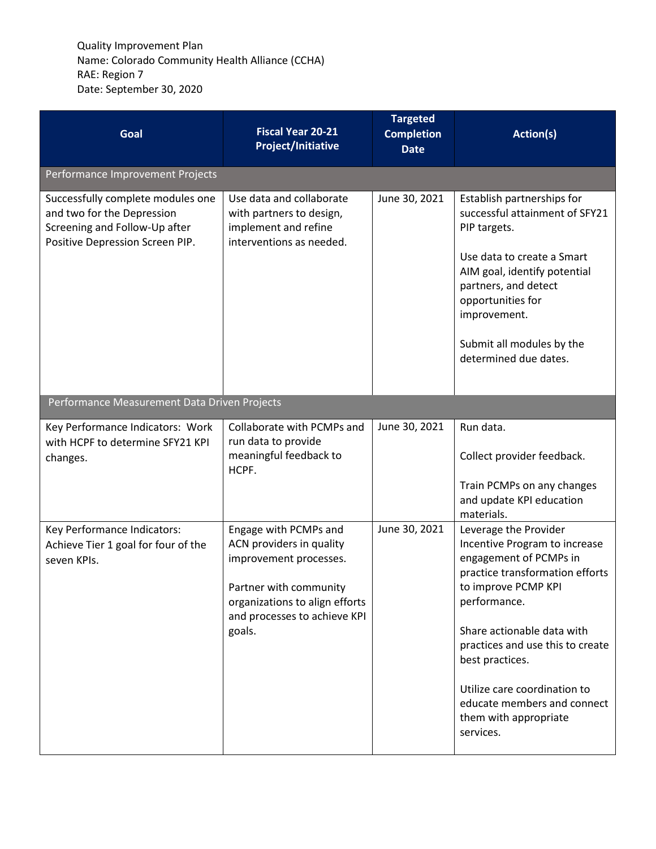| Goal                                                                                                                                | <b>Fiscal Year 20-21</b><br><b>Project/Initiative</b>                                                                                                                             | <b>Targeted</b><br><b>Completion</b><br><b>Date</b> | Action(s)                                                                                                                                                                                                                                                                                                                                            |  |
|-------------------------------------------------------------------------------------------------------------------------------------|-----------------------------------------------------------------------------------------------------------------------------------------------------------------------------------|-----------------------------------------------------|------------------------------------------------------------------------------------------------------------------------------------------------------------------------------------------------------------------------------------------------------------------------------------------------------------------------------------------------------|--|
| Performance Improvement Projects                                                                                                    |                                                                                                                                                                                   |                                                     |                                                                                                                                                                                                                                                                                                                                                      |  |
| Successfully complete modules one<br>and two for the Depression<br>Screening and Follow-Up after<br>Positive Depression Screen PIP. | Use data and collaborate<br>with partners to design,<br>implement and refine<br>interventions as needed.                                                                          | June 30, 2021                                       | Establish partnerships for<br>successful attainment of SFY21<br>PIP targets.<br>Use data to create a Smart<br>AIM goal, identify potential<br>partners, and detect<br>opportunities for<br>improvement.<br>Submit all modules by the<br>determined due dates.                                                                                        |  |
| Performance Measurement Data Driven Projects                                                                                        |                                                                                                                                                                                   |                                                     |                                                                                                                                                                                                                                                                                                                                                      |  |
| Key Performance Indicators: Work<br>with HCPF to determine SFY21 KPI<br>changes.                                                    | Collaborate with PCMPs and<br>run data to provide<br>meaningful feedback to<br>HCPF.                                                                                              | June 30, 2021                                       | Run data.<br>Collect provider feedback.<br>Train PCMPs on any changes<br>and update KPI education<br>materials.                                                                                                                                                                                                                                      |  |
| Key Performance Indicators:<br>Achieve Tier 1 goal for four of the<br>seven KPIs.                                                   | Engage with PCMPs and<br>ACN providers in quality<br>improvement processes.<br>Partner with community<br>organizations to align efforts<br>and processes to achieve KPI<br>goals. | June 30, 2021                                       | Leverage the Provider<br>Incentive Program to increase<br>engagement of PCMPs in<br>practice transformation efforts<br>to improve PCMP KPI<br>performance.<br>Share actionable data with<br>practices and use this to create<br>best practices.<br>Utilize care coordination to<br>educate members and connect<br>them with appropriate<br>services. |  |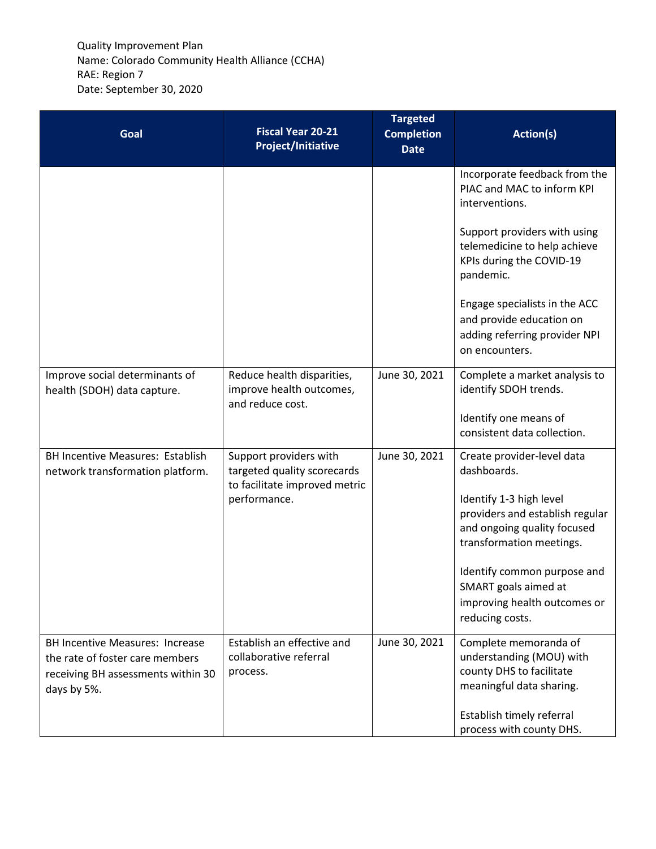| Goal                                                                                                                           | <b>Fiscal Year 20-21</b><br><b>Project/Initiative</b>                                  | <b>Targeted</b><br><b>Completion</b><br><b>Date</b> | Action(s)                                                                                                             |
|--------------------------------------------------------------------------------------------------------------------------------|----------------------------------------------------------------------------------------|-----------------------------------------------------|-----------------------------------------------------------------------------------------------------------------------|
|                                                                                                                                |                                                                                        |                                                     | Incorporate feedback from the<br>PIAC and MAC to inform KPI<br>interventions.                                         |
|                                                                                                                                |                                                                                        |                                                     | Support providers with using<br>telemedicine to help achieve<br>KPIs during the COVID-19<br>pandemic.                 |
|                                                                                                                                |                                                                                        |                                                     | Engage specialists in the ACC<br>and provide education on<br>adding referring provider NPI<br>on encounters.          |
| Improve social determinants of<br>health (SDOH) data capture.                                                                  | Reduce health disparities,<br>improve health outcomes,<br>and reduce cost.             | June 30, 2021                                       | Complete a market analysis to<br>identify SDOH trends.                                                                |
|                                                                                                                                |                                                                                        |                                                     | Identify one means of<br>consistent data collection.                                                                  |
| <b>BH Incentive Measures: Establish</b><br>network transformation platform.                                                    | Support providers with<br>targeted quality scorecards<br>to facilitate improved metric | June 30, 2021                                       | Create provider-level data<br>dashboards.                                                                             |
|                                                                                                                                | performance.                                                                           |                                                     | Identify 1-3 high level<br>providers and establish regular<br>and ongoing quality focused<br>transformation meetings. |
|                                                                                                                                |                                                                                        |                                                     | Identify common purpose and<br>SMART goals aimed at<br>improving health outcomes or<br>reducing costs.                |
| <b>BH Incentive Measures: Increase</b><br>the rate of foster care members<br>receiving BH assessments within 30<br>days by 5%. | Establish an effective and<br>collaborative referral<br>process.                       | June 30, 2021                                       | Complete memoranda of<br>understanding (MOU) with<br>county DHS to facilitate<br>meaningful data sharing.             |
|                                                                                                                                |                                                                                        |                                                     | Establish timely referral<br>process with county DHS.                                                                 |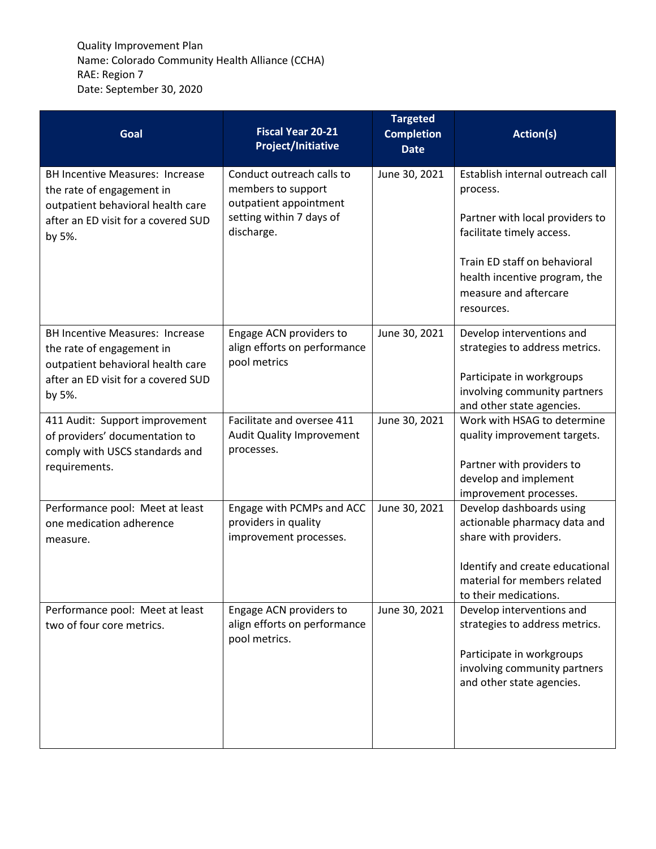| Goal                                                                                                     | <b>Fiscal Year 20-21</b><br><b>Project/Initiative</b>                       | <b>Targeted</b><br><b>Completion</b><br><b>Date</b> | Action(s)                                                                                                                                             |
|----------------------------------------------------------------------------------------------------------|-----------------------------------------------------------------------------|-----------------------------------------------------|-------------------------------------------------------------------------------------------------------------------------------------------------------|
| <b>BH Incentive Measures: Increase</b><br>the rate of engagement in                                      | Conduct outreach calls to<br>members to support                             | June 30, 2021                                       | Establish internal outreach call<br>process.                                                                                                          |
| outpatient behavioral health care<br>after an ED visit for a covered SUD<br>by 5%.                       | outpatient appointment<br>setting within 7 days of<br>discharge.            |                                                     | Partner with local providers to<br>facilitate timely access.                                                                                          |
|                                                                                                          |                                                                             |                                                     | Train ED staff on behavioral<br>health incentive program, the<br>measure and aftercare<br>resources.                                                  |
| <b>BH Incentive Measures: Increase</b><br>the rate of engagement in<br>outpatient behavioral health care | Engage ACN providers to<br>align efforts on performance<br>pool metrics     | June 30, 2021                                       | Develop interventions and<br>strategies to address metrics.                                                                                           |
| after an ED visit for a covered SUD<br>by 5%.                                                            |                                                                             |                                                     | Participate in workgroups<br>involving community partners<br>and other state agencies.                                                                |
| 411 Audit: Support improvement<br>of providers' documentation to<br>comply with USCS standards and       | Facilitate and oversee 411<br>Audit Quality Improvement<br>processes.       | June 30, 2021                                       | Work with HSAG to determine<br>quality improvement targets.                                                                                           |
| requirements.                                                                                            |                                                                             |                                                     | Partner with providers to<br>develop and implement<br>improvement processes.                                                                          |
| Performance pool: Meet at least<br>one medication adherence<br>measure.                                  | Engage with PCMPs and ACC<br>providers in quality<br>improvement processes. | June 30, 2021                                       | Develop dashboards using<br>actionable pharmacy data and<br>share with providers.                                                                     |
|                                                                                                          |                                                                             |                                                     | Identify and create educational<br>material for members related<br>to their medications.                                                              |
| Performance pool: Meet at least<br>two of four core metrics.                                             | Engage ACN providers to<br>align efforts on performance<br>pool metrics.    | June 30, 2021                                       | Develop interventions and<br>strategies to address metrics.<br>Participate in workgroups<br>involving community partners<br>and other state agencies. |
|                                                                                                          |                                                                             |                                                     |                                                                                                                                                       |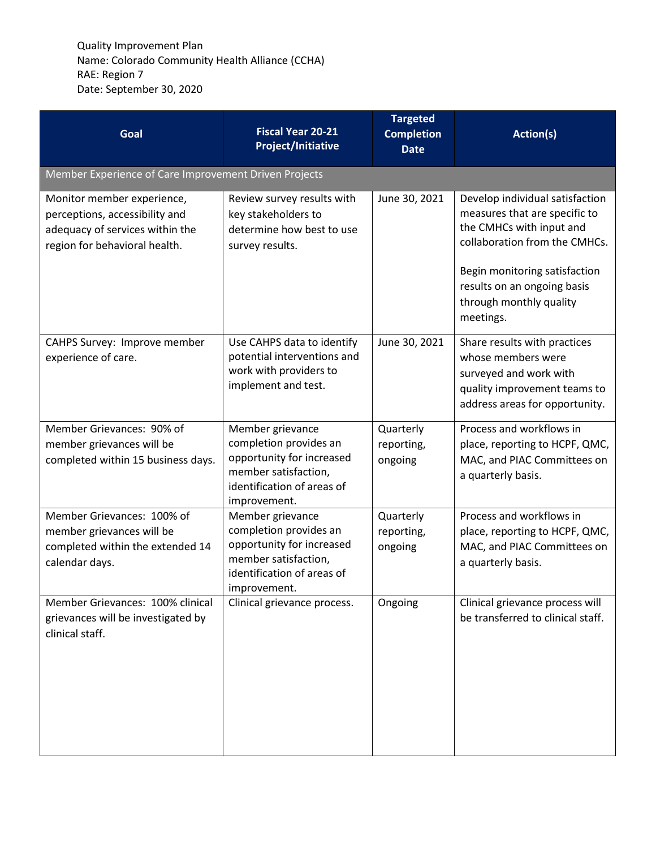| Goal                                                                                                                             | <b>Fiscal Year 20-21</b><br><b>Project/Initiative</b>                                                                                         | <b>Targeted</b><br><b>Completion</b><br><b>Date</b> | Action(s)                                                                                                                                                                                                                             |
|----------------------------------------------------------------------------------------------------------------------------------|-----------------------------------------------------------------------------------------------------------------------------------------------|-----------------------------------------------------|---------------------------------------------------------------------------------------------------------------------------------------------------------------------------------------------------------------------------------------|
| Member Experience of Care Improvement Driven Projects                                                                            |                                                                                                                                               |                                                     |                                                                                                                                                                                                                                       |
| Monitor member experience,<br>perceptions, accessibility and<br>adequacy of services within the<br>region for behavioral health. | Review survey results with<br>key stakeholders to<br>determine how best to use<br>survey results.                                             | June 30, 2021                                       | Develop individual satisfaction<br>measures that are specific to<br>the CMHCs with input and<br>collaboration from the CMHCs.<br>Begin monitoring satisfaction<br>results on an ongoing basis<br>through monthly quality<br>meetings. |
| CAHPS Survey: Improve member<br>experience of care.                                                                              | Use CAHPS data to identify<br>potential interventions and<br>work with providers to<br>implement and test.                                    | June 30, 2021                                       | Share results with practices<br>whose members were<br>surveyed and work with<br>quality improvement teams to<br>address areas for opportunity.                                                                                        |
| Member Grievances: 90% of<br>member grievances will be<br>completed within 15 business days.                                     | Member grievance<br>completion provides an<br>opportunity for increased<br>member satisfaction,<br>identification of areas of<br>improvement. | Quarterly<br>reporting,<br>ongoing                  | Process and workflows in<br>place, reporting to HCPF, QMC,<br>MAC, and PIAC Committees on<br>a quarterly basis.                                                                                                                       |
| Member Grievances: 100% of<br>member grievances will be<br>completed within the extended 14<br>calendar days.                    | Member grievance<br>completion provides an<br>opportunity for increased<br>member satisfaction,<br>identification of areas of<br>improvement. | Quarterly<br>reporting,<br>ongoing                  | Process and workflows in<br>place, reporting to HCPF, QMC,<br>MAC, and PIAC Committees on<br>a quarterly basis.                                                                                                                       |
| Member Grievances: 100% clinical<br>grievances will be investigated by<br>clinical staff.                                        | Clinical grievance process.                                                                                                                   | Ongoing                                             | Clinical grievance process will<br>be transferred to clinical staff.                                                                                                                                                                  |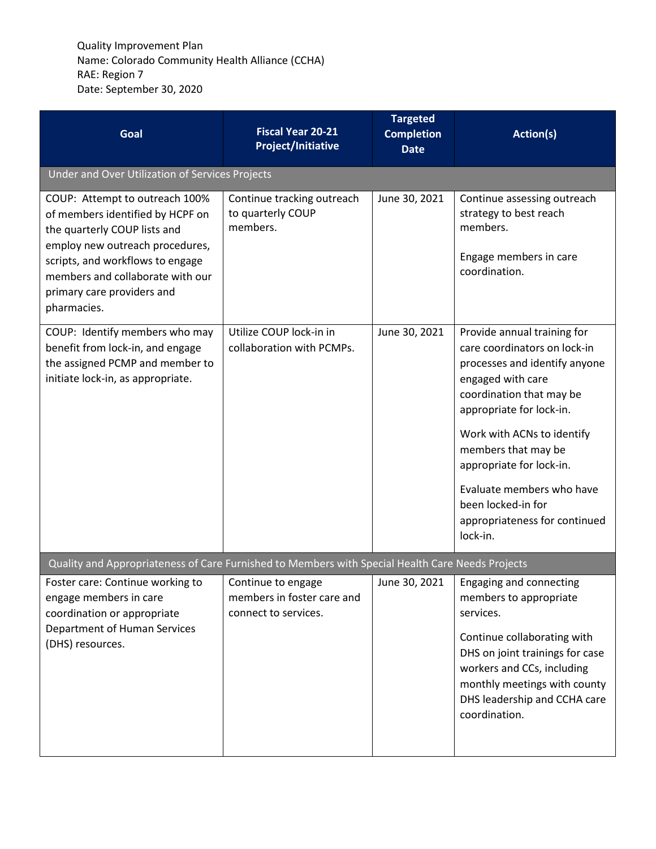| Goal                                                                                                                                                                                                                                                       | <b>Fiscal Year 20-21</b><br><b>Project/Initiative</b>                    | <b>Targeted</b><br><b>Completion</b><br><b>Date</b> | Action(s)                                                                                                                                                                                                                                                                                                                                                  |
|------------------------------------------------------------------------------------------------------------------------------------------------------------------------------------------------------------------------------------------------------------|--------------------------------------------------------------------------|-----------------------------------------------------|------------------------------------------------------------------------------------------------------------------------------------------------------------------------------------------------------------------------------------------------------------------------------------------------------------------------------------------------------------|
| Under and Over Utilization of Services Projects                                                                                                                                                                                                            |                                                                          |                                                     |                                                                                                                                                                                                                                                                                                                                                            |
| COUP: Attempt to outreach 100%<br>of members identified by HCPF on<br>the quarterly COUP lists and<br>employ new outreach procedures,<br>scripts, and workflows to engage<br>members and collaborate with our<br>primary care providers and<br>pharmacies. | Continue tracking outreach<br>to quarterly COUP<br>members.              | June 30, 2021                                       | Continue assessing outreach<br>strategy to best reach<br>members.<br>Engage members in care<br>coordination.                                                                                                                                                                                                                                               |
| COUP: Identify members who may<br>benefit from lock-in, and engage<br>the assigned PCMP and member to<br>initiate lock-in, as appropriate.                                                                                                                 | Utilize COUP lock-in in<br>collaboration with PCMPs.                     | June 30, 2021                                       | Provide annual training for<br>care coordinators on lock-in<br>processes and identify anyone<br>engaged with care<br>coordination that may be<br>appropriate for lock-in.<br>Work with ACNs to identify<br>members that may be<br>appropriate for lock-in.<br>Evaluate members who have<br>been locked-in for<br>appropriateness for continued<br>lock-in. |
| Quality and Appropriateness of Care Furnished to Members with Special Health Care Needs Projects                                                                                                                                                           |                                                                          |                                                     |                                                                                                                                                                                                                                                                                                                                                            |
| Foster care: Continue working to<br>engage members in care<br>coordination or appropriate<br>Department of Human Services<br>(DHS) resources.                                                                                                              | Continue to engage<br>members in foster care and<br>connect to services. | June 30, 2021                                       | <b>Engaging and connecting</b><br>members to appropriate<br>services.<br>Continue collaborating with<br>DHS on joint trainings for case<br>workers and CCs, including<br>monthly meetings with county<br>DHS leadership and CCHA care<br>coordination.                                                                                                     |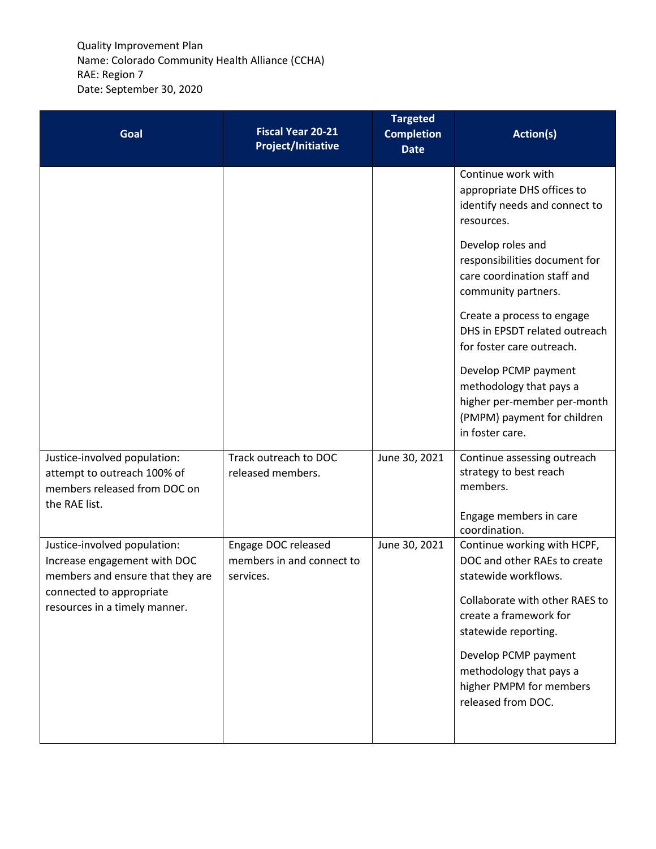| Goal                                                                                                                                                          | <b>Fiscal Year 20-21</b><br><b>Project/Initiative</b>         | <b>Targeted</b><br><b>Completion</b><br><b>Date</b> | Action(s)                                                                                                                                                                                                                                                                   |
|---------------------------------------------------------------------------------------------------------------------------------------------------------------|---------------------------------------------------------------|-----------------------------------------------------|-----------------------------------------------------------------------------------------------------------------------------------------------------------------------------------------------------------------------------------------------------------------------------|
|                                                                                                                                                               |                                                               |                                                     | Continue work with<br>appropriate DHS offices to<br>identify needs and connect to<br>resources.                                                                                                                                                                             |
|                                                                                                                                                               |                                                               |                                                     | Develop roles and<br>responsibilities document for<br>care coordination staff and<br>community partners.                                                                                                                                                                    |
|                                                                                                                                                               |                                                               |                                                     | Create a process to engage<br>DHS in EPSDT related outreach<br>for foster care outreach.                                                                                                                                                                                    |
|                                                                                                                                                               |                                                               |                                                     | Develop PCMP payment<br>methodology that pays a<br>higher per-member per-month<br>(PMPM) payment for children<br>in foster care.                                                                                                                                            |
| Justice-involved population:<br>attempt to outreach 100% of<br>members released from DOC on<br>the RAE list.                                                  | Track outreach to DOC<br>released members.                    | June 30, 2021                                       | Continue assessing outreach<br>strategy to best reach<br>members.                                                                                                                                                                                                           |
|                                                                                                                                                               |                                                               |                                                     | Engage members in care<br>coordination.                                                                                                                                                                                                                                     |
| Justice-involved population:<br>Increase engagement with DOC<br>members and ensure that they are<br>connected to appropriate<br>resources in a timely manner. | Engage DOC released<br>members in and connect to<br>services. | June 30, 2021                                       | Continue working with HCPF,<br>DOC and other RAEs to create<br>statewide workflows.<br>Collaborate with other RAES to<br>create a framework for<br>statewide reporting.<br>Develop PCMP payment<br>methodology that pays a<br>higher PMPM for members<br>released from DOC. |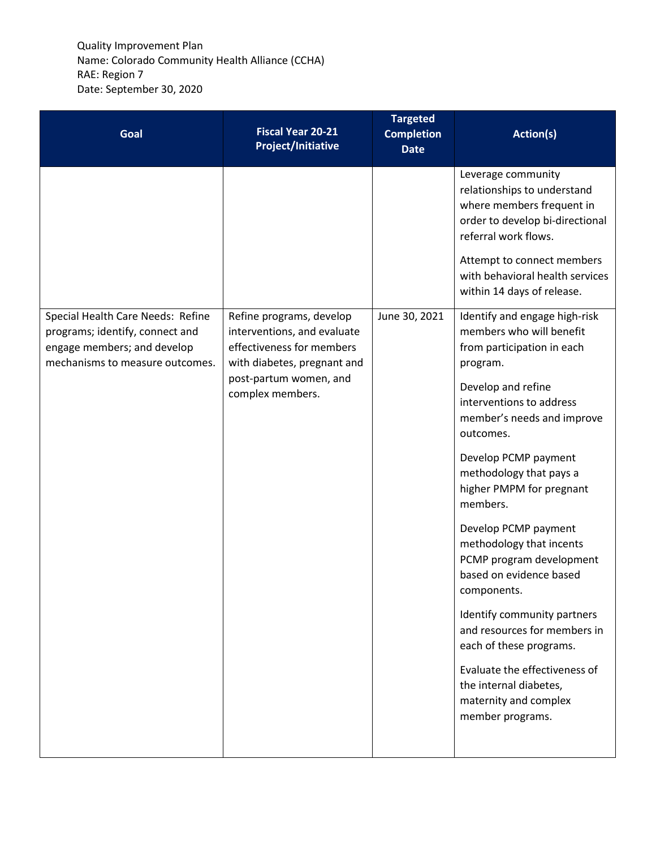| Goal                                                                                                                                   | <b>Fiscal Year 20-21</b><br><b>Project/Initiative</b>                                                               | <b>Targeted</b><br><b>Completion</b><br><b>Date</b> | Action(s)                                                                                                                                                                                                                                |
|----------------------------------------------------------------------------------------------------------------------------------------|---------------------------------------------------------------------------------------------------------------------|-----------------------------------------------------|------------------------------------------------------------------------------------------------------------------------------------------------------------------------------------------------------------------------------------------|
|                                                                                                                                        |                                                                                                                     |                                                     | Leverage community<br>relationships to understand<br>where members frequent in<br>order to develop bi-directional<br>referral work flows.<br>Attempt to connect members<br>with behavioral health services<br>within 14 days of release. |
| Special Health Care Needs: Refine<br>programs; identify, connect and<br>engage members; and develop<br>mechanisms to measure outcomes. | Refine programs, develop<br>interventions, and evaluate<br>effectiveness for members<br>with diabetes, pregnant and | June 30, 2021                                       | Identify and engage high-risk<br>members who will benefit<br>from participation in each<br>program.                                                                                                                                      |
|                                                                                                                                        | post-partum women, and<br>complex members.                                                                          |                                                     | Develop and refine<br>interventions to address<br>member's needs and improve<br>outcomes.                                                                                                                                                |
|                                                                                                                                        |                                                                                                                     |                                                     | Develop PCMP payment<br>methodology that pays a<br>higher PMPM for pregnant<br>members.                                                                                                                                                  |
|                                                                                                                                        |                                                                                                                     |                                                     | Develop PCMP payment<br>methodology that incents<br>PCMP program development<br>based on evidence based<br>components.                                                                                                                   |
|                                                                                                                                        |                                                                                                                     |                                                     | Identify community partners<br>and resources for members in<br>each of these programs.                                                                                                                                                   |
|                                                                                                                                        |                                                                                                                     |                                                     | Evaluate the effectiveness of<br>the internal diabetes,<br>maternity and complex<br>member programs.                                                                                                                                     |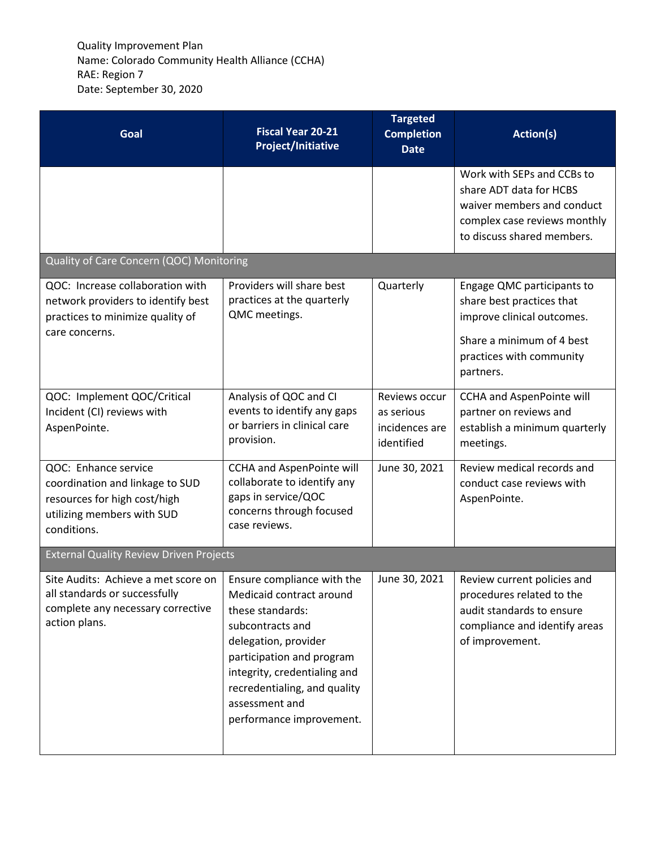| Goal                                                                                                                                 | <b>Fiscal Year 20-21</b><br><b>Project/Initiative</b>                                                                                                                                                                                                             | <b>Targeted</b><br><b>Completion</b><br><b>Date</b>         | Action(s)                                                                                                                                                   |
|--------------------------------------------------------------------------------------------------------------------------------------|-------------------------------------------------------------------------------------------------------------------------------------------------------------------------------------------------------------------------------------------------------------------|-------------------------------------------------------------|-------------------------------------------------------------------------------------------------------------------------------------------------------------|
|                                                                                                                                      |                                                                                                                                                                                                                                                                   |                                                             | Work with SEPs and CCBs to<br>share ADT data for HCBS<br>waiver members and conduct<br>complex case reviews monthly<br>to discuss shared members.           |
| Quality of Care Concern (QOC) Monitoring                                                                                             |                                                                                                                                                                                                                                                                   |                                                             |                                                                                                                                                             |
| QOC: Increase collaboration with<br>network providers to identify best<br>practices to minimize quality of<br>care concerns.         | Providers will share best<br>practices at the quarterly<br>QMC meetings.                                                                                                                                                                                          | Quarterly                                                   | Engage QMC participants to<br>share best practices that<br>improve clinical outcomes.<br>Share a minimum of 4 best<br>practices with community<br>partners. |
| QOC: Implement QOC/Critical<br>Incident (CI) reviews with<br>AspenPointe.                                                            | Analysis of QOC and CI<br>events to identify any gaps<br>or barriers in clinical care<br>provision.                                                                                                                                                               | Reviews occur<br>as serious<br>incidences are<br>identified | <b>CCHA and AspenPointe will</b><br>partner on reviews and<br>establish a minimum quarterly<br>meetings.                                                    |
| QOC: Enhance service<br>coordination and linkage to SUD<br>resources for high cost/high<br>utilizing members with SUD<br>conditions. | <b>CCHA and AspenPointe will</b><br>collaborate to identify any<br>gaps in service/QOC<br>concerns through focused<br>case reviews.                                                                                                                               | June 30, 2021                                               | Review medical records and<br>conduct case reviews with<br>AspenPointe.                                                                                     |
| <b>External Quality Review Driven Projects</b>                                                                                       |                                                                                                                                                                                                                                                                   |                                                             |                                                                                                                                                             |
| Site Audits: Achieve a met score on<br>all standards or successfully<br>complete any necessary corrective<br>action plans.           | Ensure compliance with the<br>Medicaid contract around<br>these standards:<br>subcontracts and<br>delegation, provider<br>participation and program<br>integrity, credentialing and<br>recredentialing, and quality<br>assessment and<br>performance improvement. | June 30, 2021                                               | Review current policies and<br>procedures related to the<br>audit standards to ensure<br>compliance and identify areas<br>of improvement.                   |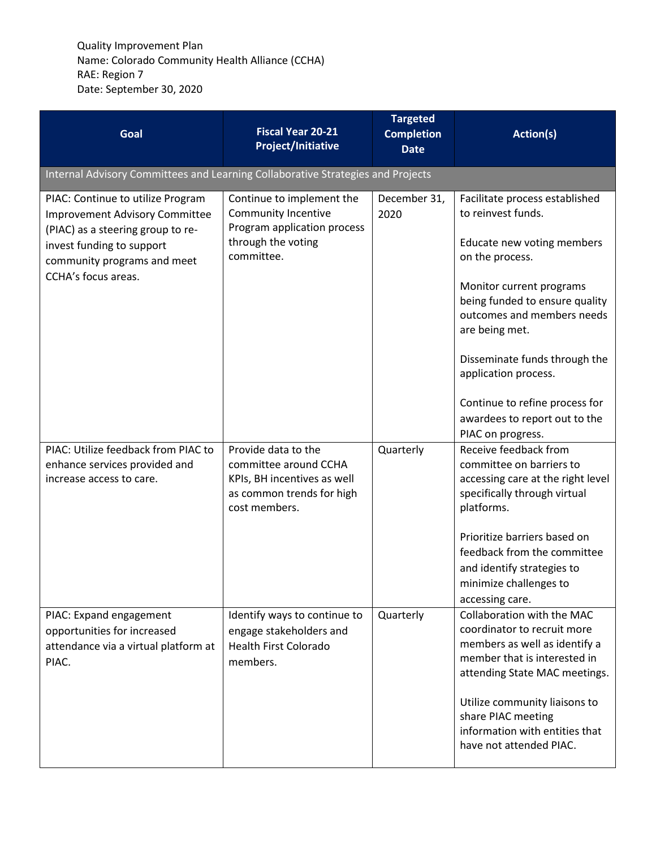| Goal                                                                                                                                                                                               | <b>Fiscal Year 20-21</b><br><b>Project/Initiative</b>                                                                     | <b>Targeted</b><br><b>Completion</b><br><b>Date</b> | <b>Action(s)</b>                                                                                                                                                                                                                                                                                                                                                     |
|----------------------------------------------------------------------------------------------------------------------------------------------------------------------------------------------------|---------------------------------------------------------------------------------------------------------------------------|-----------------------------------------------------|----------------------------------------------------------------------------------------------------------------------------------------------------------------------------------------------------------------------------------------------------------------------------------------------------------------------------------------------------------------------|
| Internal Advisory Committees and Learning Collaborative Strategies and Projects                                                                                                                    |                                                                                                                           |                                                     |                                                                                                                                                                                                                                                                                                                                                                      |
| PIAC: Continue to utilize Program<br><b>Improvement Advisory Committee</b><br>(PIAC) as a steering group to re-<br>invest funding to support<br>community programs and meet<br>CCHA's focus areas. | Continue to implement the<br>Community Incentive<br>Program application process<br>through the voting<br>committee.       | December 31,<br>2020                                | Facilitate process established<br>to reinvest funds.<br>Educate new voting members<br>on the process.<br>Monitor current programs<br>being funded to ensure quality<br>outcomes and members needs<br>are being met.<br>Disseminate funds through the<br>application process.<br>Continue to refine process for<br>awardees to report out to the<br>PIAC on progress. |
| PIAC: Utilize feedback from PIAC to<br>enhance services provided and<br>increase access to care.                                                                                                   | Provide data to the<br>committee around CCHA<br>KPIs, BH incentives as well<br>as common trends for high<br>cost members. | Quarterly                                           | Receive feedback from<br>committee on barriers to<br>accessing care at the right level<br>specifically through virtual<br>platforms.<br>Prioritize barriers based on<br>feedback from the committee<br>and identify strategies to<br>minimize challenges to<br>accessing care.                                                                                       |
| PIAC: Expand engagement<br>opportunities for increased<br>attendance via a virtual platform at<br>PIAC.                                                                                            | Identify ways to continue to<br>engage stakeholders and<br><b>Health First Colorado</b><br>members.                       | Quarterly                                           | Collaboration with the MAC<br>coordinator to recruit more<br>members as well as identify a<br>member that is interested in<br>attending State MAC meetings.<br>Utilize community liaisons to<br>share PIAC meeting<br>information with entities that<br>have not attended PIAC.                                                                                      |